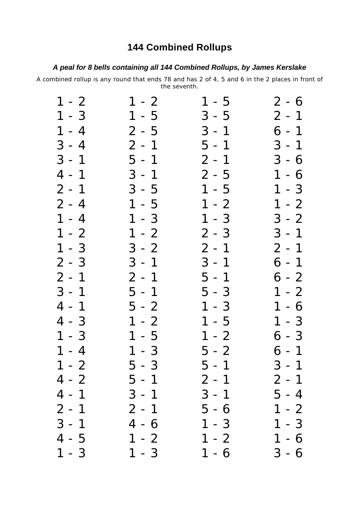## **144 Combined Rollups**

## *A peal for 8 bells containing all 144 Combined Rollups, by James Kerslake*

A combined rollup is any round that ends 78 and has 2 of 4, 5 and 6 in the 2 places in front of the seventh.

| $1 - 2$                | $1 - 2$                                               | $1 - 5$              | $2 - 6$             |
|------------------------|-------------------------------------------------------|----------------------|---------------------|
| $1 - 3$                | $1 - 5$                                               | $3 - 5$              |                     |
| $1 - 4$                | $2 - 5$                                               | $3 - 1$              | $2 - 1$<br>6 - 1    |
| $3 - 4$                | $2 - 1$                                               | $5 - 1$              | $3 - 1$             |
| $3 - 1$                | $5 - 1$                                               | $2 - 1$              | $3 - 6$             |
| $\overline{4}$<br>$-1$ | $3 - 1$                                               | $2 - 5$              | $1 - 6$             |
| $2 - 1$                | $3 - 5$                                               | $1 - 5$              | $1 - 3$             |
| $2 - 4$                | $1 - 5$                                               | $1 - 2$              | $-2$<br>$\mathbf 1$ |
| $1 - 4$                | $-3$<br>$\mathbf 1$                                   | $1 - 3$              | $3 - 2$             |
| $1 - 2$                | $\frac{1}{\sqrt{2}}$<br>$\mathbf 1$<br>$\overline{2}$ | $2 - 3$              | $3 - 1$             |
| $1 - 3$                | $3 - 2$                                               | $2 - 1$              | $2 - 1$<br>6 - 1    |
| $2 - 3$                | $3 - 1$                                               | $3 - 1$              |                     |
| $2 - 1$                | $2 - 1$                                               | $5 - 1$              | $6 - 2$             |
|                        | $5 - 1$                                               | $5 - 3$              | $1 - 2$             |
| $3 - 1$<br>4 - 1       | $5 - 2$                                               | $\mathbf{1}$<br>$-3$ | $1 - 6$<br>1 - 3    |
| $4 - 3$                | $1 - 2$                                               | $1 - 5$              |                     |
| $1 - 3$                | $-5$<br>$\mathbf{1}$                                  | $\mathbf{1}$<br>$-2$ | $6 - 3$             |
| $1 - 4$                | $-3$<br>$\mathbf 1$                                   | $5 - 2$              | $6 - 1$             |
| $1 - 2$                | $5 - 3$                                               | $5 - 1$              | $3 - 1$             |
| $4 - 2$                | $5 - 1$                                               | $2 - 1$              | $2 - 1$             |
| 4<br>$-1$              | $3 - 1$                                               | $3 - 1$              | 5 - 4               |
| $2 - 1$                | $2 - 1$                                               | $5 - 6$              | $1 - 2$             |
| $3 - 1$                | $4 - 6$                                               | $1 - 3$              | $1 - 3$             |
| $\overline{4}$<br>$-5$ | $1 - 2$                                               | $1 - 2$              | $1 - 6$             |
| $1 - 3$                | $1 - 3$                                               | $1 - 6$              | $3 - 6$             |